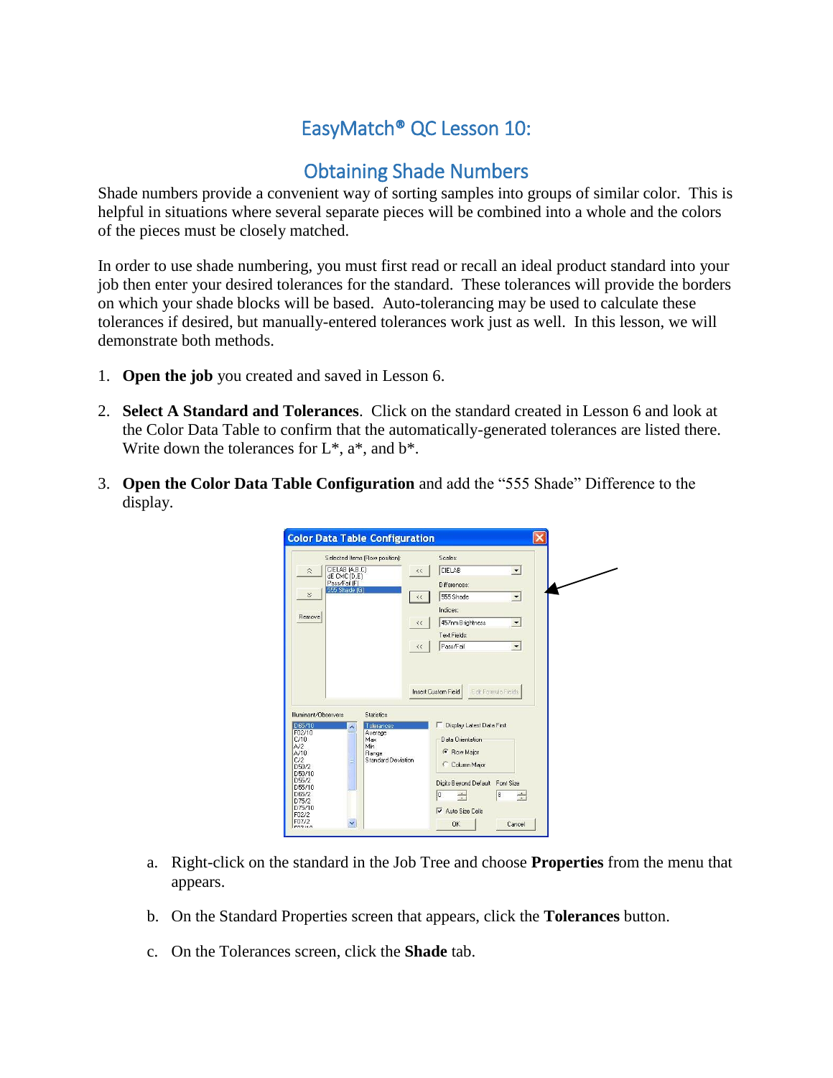## EasyMatch® QC Lesson 10:

## Obtaining Shade Numbers

Shade numbers provide a convenient way of sorting samples into groups of similar color. This is helpful in situations where several separate pieces will be combined into a whole and the colors of the pieces must be closely matched.

In order to use shade numbering, you must first read or recall an ideal product standard into your job then enter your desired tolerances for the standard. These tolerances will provide the borders on which your shade blocks will be based. Auto-tolerancing may be used to calculate these tolerances if desired, but manually-entered tolerances work just as well. In this lesson, we will demonstrate both methods.

- 1. **Open the job** you created and saved in Lesson 6.
- 2. **Select A Standard and Tolerances**. Click on the standard created in Lesson 6 and look at the Color Data Table to confirm that the automatically-generated tolerances are listed there. Write down the tolerances for  $L^*$ ,  $a^*$ , and  $b^*$ .
- 3. **Open the Color Data Table Configuration** and add the "555 Shade" Difference to the display.

| Selected Items (Row position):                                                 |                            | Scales:                         |                      |   |
|--------------------------------------------------------------------------------|----------------------------|---------------------------------|----------------------|---|
| CIELAB (A,B,C)<br>$\hat{\mathbf{z}}$<br>dE CMC (D,E)                           | $\leftrightarrow$          | CIELAB                          | $\blacktriangledown$ |   |
| Pass/Fail (F)                                                                  |                            | Differences:                    |                      |   |
| 555 Shade (G)                                                                  | $<<$                       | 555 Shade                       | $\bullet$            |   |
| Remove                                                                         |                            | Indices:                        |                      |   |
|                                                                                | $\leftrightarrow$          | 457nm Brightness                |                      |   |
|                                                                                |                            | Text Fields:                    |                      |   |
|                                                                                | $\prec\!\prec$             | Pass/Fail                       |                      |   |
|                                                                                | <b>Insert Custom Field</b> |                                 | E dit Formula Fields |   |
| <b>Statistics</b><br>Tolerances                                                |                            | Display Latest Data First       |                      |   |
| Average<br>Max                                                                 |                            | Data Orientation                |                      |   |
| Min.<br>Range                                                                  |                            | Row Major                       |                      |   |
| Illuminant/Ohservers<br>D65/10<br>F02/10<br><b>Standard Deviation</b><br>D50/2 |                            | C Column Major                  |                      |   |
| D50/10<br>D55/2<br>D55/10                                                      |                            | Digits Beyond Default Font Size |                      |   |
|                                                                                | 0                          | $\div$                          | 8                    | ÷ |
|                                                                                |                            | Auto Size Cells                 |                      |   |

- a. Right-click on the standard in the Job Tree and choose **Properties** from the menu that appears.
- b. On the Standard Properties screen that appears, click the **Tolerances** button.
- c. On the Tolerances screen, click the **Shade** tab.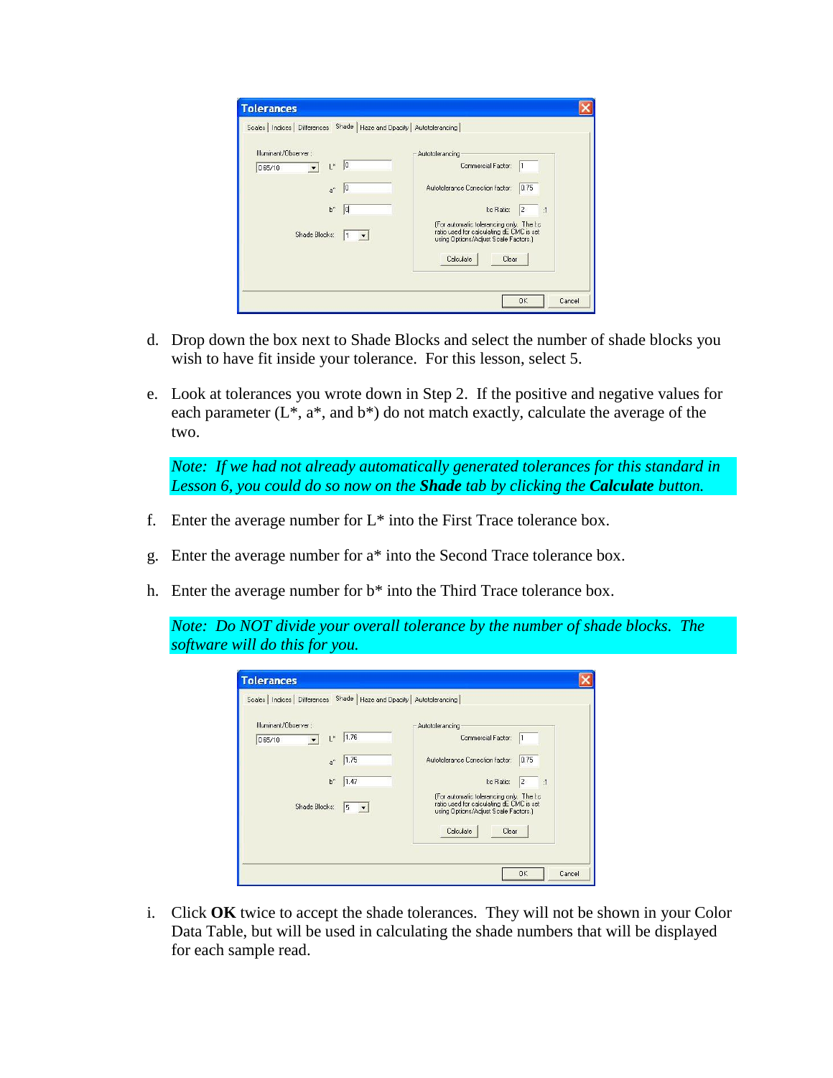| Illuminant/Observer:            | Autotolerancing                                                                                                              |
|---------------------------------|------------------------------------------------------------------------------------------------------------------------------|
| $\mathbb{I}^*$<br> 0 <br>D65/10 | Commercial Factor:                                                                                                           |
| 0 <br>$a^*$                     | 0.75<br>Autotolerance Correction factor:                                                                                     |
| $b^*$<br>ld                     | I:c Ratio:<br>2<br>:1                                                                                                        |
| Shade Blocks:<br>1              | [For automatic tolerancing only. The I:c<br>ratio used for calculating dE CMC is set<br>using Options/Adjust Scale Factors.) |
|                                 | Calculate<br>Clear                                                                                                           |

- d. Drop down the box next to Shade Blocks and select the number of shade blocks you wish to have fit inside your tolerance. For this lesson, select 5.
- e. Look at tolerances you wrote down in Step 2. If the positive and negative values for each parameter  $(L^*, a^*,$  and  $b^*)$  do not match exactly, calculate the average of the two.

*Note: If we had not already automatically generated tolerances for this standard in Lesson 6, you could do so now on the Shade tab by clicking the Calculate button.*

- f. Enter the average number for  $L^*$  into the First Trace tolerance box.
- g. Enter the average number for a\* into the Second Trace tolerance box.
- h. Enter the average number for b\* into the Third Trace tolerance box.

*Note: Do NOT divide your overall tolerance by the number of shade blocks. The software will do this for you.*

| Illuminant/Observer:                       | Autotolerancing                                                                                                              |
|--------------------------------------------|------------------------------------------------------------------------------------------------------------------------------|
| 1.76<br>$\mathbb{I}^*$<br>D65/10           | Commercial Factor:                                                                                                           |
| 1.75<br>$a^*$                              | 0.75<br>Autotolerance Correction factor:                                                                                     |
| $b^*$<br>1.47                              | Ite Ratio:<br>12<br>:1                                                                                                       |
| Shade Blocks:<br>5<br>$\blacktriangledown$ | (For automatic tolerancing only. The I:c<br>ratio used for calculating dE CMC is set<br>using Options/Adjust Scale Factors.) |
|                                            | Calculate<br>Clear                                                                                                           |

i. Click **OK** twice to accept the shade tolerances. They will not be shown in your Color Data Table, but will be used in calculating the shade numbers that will be displayed for each sample read.